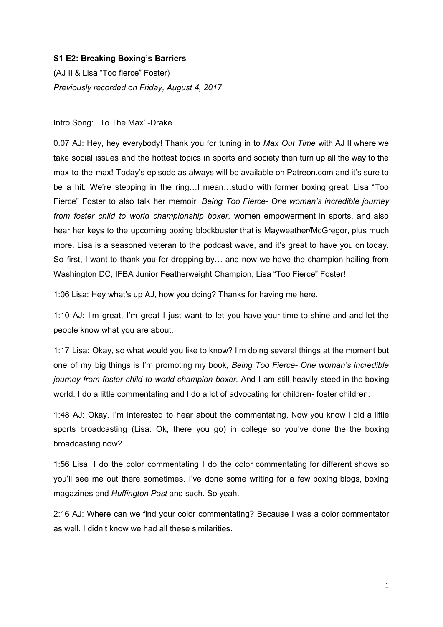## **S1 E2: Breaking Boxing's Barriers**

(AJ II & Lisa "Too fierce" Foster) *Previously recorded on Friday, August 4, 2017*

## Intro Song: 'To The Max' -Drake

0.07 AJ: Hey, hey everybody! Thank you for tuning in to *Max Out Time* with AJ II where we take social issues and the hottest topics in sports and society then turn up all the way to the max to the max! Today's episode as always will be available on Patreon.com and it's sure to be a hit. We're stepping in the ring…I mean…studio with former boxing great, Lisa "Too Fierce" Foster to also talk her memoir, *Being Too Fierce- One woman's incredible journey from foster child to world championship boxer*, women empowerment in sports, and also hear her keys to the upcoming boxing blockbuster that is Mayweather/McGregor, plus much more. Lisa is a seasoned veteran to the podcast wave, and it's great to have you on today. So first, I want to thank you for dropping by… and now we have the champion hailing from Washington DC, IFBA Junior Featherweight Champion, Lisa "Too Fierce" Foster!

1:06 Lisa: Hey what's up AJ, how you doing? Thanks for having me here.

1:10 AJ: I'm great, I'm great I just want to let you have your time to shine and and let the people know what you are about.

1:17 Lisa: Okay, so what would you like to know? I'm doing several things at the moment but one of my big things is I'm promoting my book, *Being Too Fierce- One woman's incredible journey from foster child to world champion boxer.* And I am still heavily steed in the boxing world. I do a little commentating and I do a lot of advocating for children-foster children.

1:48 AJ: Okay, I'm interested to hear about the commentating. Now you know I did a little sports broadcasting (Lisa: Ok, there you go) in college so you've done the the boxing broadcasting now?

1:56 Lisa: I do the color commentating I do the color commentating for different shows so you'll see me out there sometimes. I've done some writing for a few boxing blogs, boxing magazines and *Huffington Post* and such. So yeah.

2:16 AJ: Where can we find your color commentating? Because I was a color commentator as well. I didn't know we had all these similarities.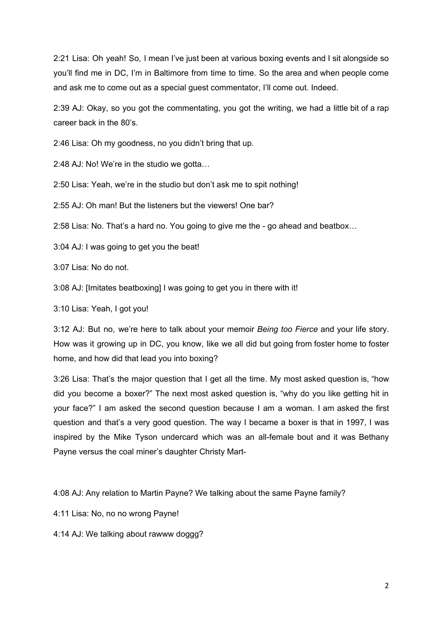2:21 Lisa: Oh yeah! So, I mean I've just been at various boxing events and I sit alongside so you'll find me in DC, I'm in Baltimore from time to time. So the area and when people come and ask me to come out as a special guest commentator, I'll come out. Indeed.

2:39 AJ: Okay, so you got the commentating, you got the writing, we had a little bit of a rap career back in the 80's.

2:46 Lisa: Oh my goodness, no you didn't bring that up.

2:48 AJ: No! We're in the studio we gotta…

2:50 Lisa: Yeah, we're in the studio but don't ask me to spit nothing!

2:55 AJ: Oh man! But the listeners but the viewers! One bar?

2:58 Lisa: No. That's a hard no. You going to give me the - go ahead and beatbox…

3:04 AJ: I was going to get you the beat!

3:07 Lisa: No do not.

3:08 AJ: [Imitates beatboxing] I was going to get you in there with it!

3:10 Lisa: Yeah, I got you!

3:12 AJ: But no, we're here to talk about your memoir *Being too Fierce* and your life story. How was it growing up in DC, you know, like we all did but going from foster home to foster home, and how did that lead you into boxing?

3:26 Lisa: That's the major question that I get all the time. My most asked question is, "how did you become a boxer?" The next most asked question is, "why do you like getting hit in your face?" I am asked the second question because I am a woman. I am asked the first question and that's a very good question. The way I became a boxer is that in 1997, I was inspired by the Mike Tyson undercard which was an all-female bout and it was Bethany Payne versus the coal miner's daughter Christy Mart-

4:08 AJ: Any relation to Martin Payne? We talking about the same Payne family?

4:11 Lisa: No, no no wrong Payne!

4:14 AJ: We talking about rawww doggg?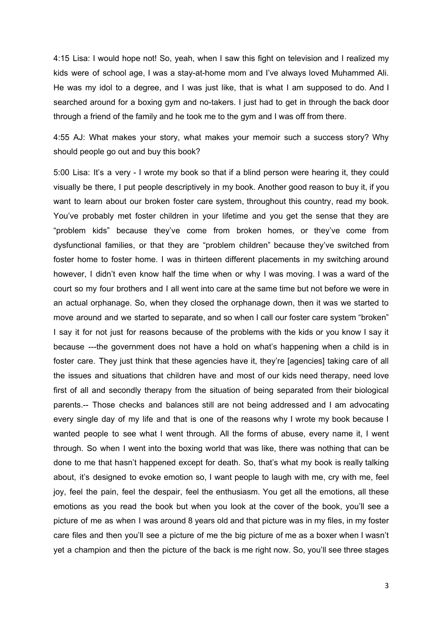4:15 Lisa: I would hope not! So, yeah, when I saw this fight on television and I realized my kids were of school age, I was a stay-at-home mom and I've always loved Muhammed Ali. He was my idol to a degree, and I was just like, that is what I am supposed to do. And I searched around for a boxing gym and no-takers. I just had to get in through the back door through a friend of the family and he took me to the gym and I was off from there.

4:55 AJ: What makes your story, what makes your memoir such a success story? Why should people go out and buy this book?

5:00 Lisa: It's a very - I wrote my book so that if a blind person were hearing it, they could visually be there, I put people descriptively in my book. Another good reason to buy it, if you want to learn about our broken foster care system, throughout this country, read my book. You've probably met foster children in your lifetime and you get the sense that they are "problem kids" because they've come from broken homes, or they've come from dysfunctional families, or that they are "problem children" because they've switched from foster home to foster home. I was in thirteen different placements in my switching around however, I didn't even know half the time when or why I was moving. I was a ward of the court so my four brothers and I all went into care at the same time but not before we were in an actual orphanage. So, when they closed the orphanage down, then it was we started to move around and we started to separate, and so when I call our foster care system "broken" I say it for not just for reasons because of the problems with the kids or you know I say it because ---the government does not have a hold on what's happening when a child is in foster care. They just think that these agencies have it, they're [agencies] taking care of all the issues and situations that children have and most of our kids need therapy, need love first of all and secondly therapy from the situation of being separated from their biological parents.-- Those checks and balances still are not being addressed and I am advocating every single day of my life and that is one of the reasons why I wrote my book because I wanted people to see what I went through. All the forms of abuse, every name it, I went through. So when I went into the boxing world that was like, there was nothing that can be done to me that hasn't happened except for death. So, that's what my book is really talking about, it's designed to evoke emotion so, I want people to laugh with me, cry with me, feel joy, feel the pain, feel the despair, feel the enthusiasm. You get all the emotions, all these emotions as you read the book but when you look at the cover of the book, you'll see a picture of me as when I was around 8 years old and that picture was in my files, in my foster care files and then you'll see a picture of me the big picture of me as a boxer when I wasn't yet a champion and then the picture of the back is me right now. So, you'll see three stages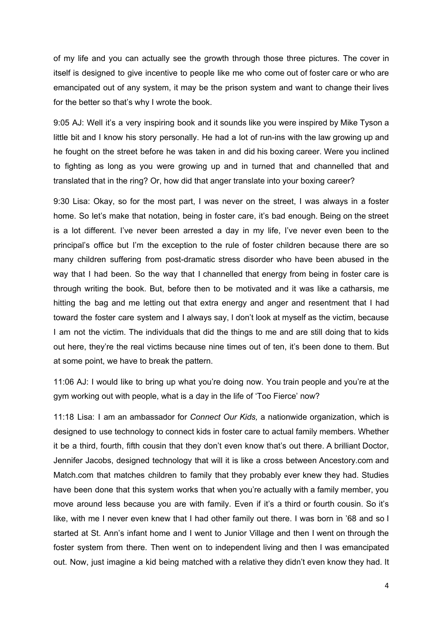of my life and you can actually see the growth through those three pictures. The cover in itself is designed to give incentive to people like me who come out of foster care or who are emancipated out of any system, it may be the prison system and want to change their lives for the better so that's why I wrote the book.

9:05 AJ: Well it's a very inspiring book and it sounds like you were inspired by Mike Tyson a little bit and I know his story personally. He had a lot of run-ins with the law growing up and he fought on the street before he was taken in and did his boxing career. Were you inclined to fighting as long as you were growing up and in turned that and channelled that and translated that in the ring? Or, how did that anger translate into your boxing career?

9:30 Lisa: Okay, so for the most part, I was never on the street, I was always in a foster home. So let's make that notation, being in foster care, it's bad enough. Being on the street is a lot different. I've never been arrested a day in my life, I've never even been to the principal's office but I'm the exception to the rule of foster children because there are so many children suffering from post-dramatic stress disorder who have been abused in the way that I had been. So the way that I channelled that energy from being in foster care is through writing the book. But, before then to be motivated and it was like a catharsis, me hitting the bag and me letting out that extra energy and anger and resentment that I had toward the foster care system and I always say, I don't look at myself as the victim, because I am not the victim. The individuals that did the things to me and are still doing that to kids out here, they're the real victims because nine times out of ten, it's been done to them. But at some point, we have to break the pattern.

11:06 AJ: I would like to bring up what you're doing now. You train people and you're at the gym working out with people, what is a day in the life of 'Too Fierce' now?

11:18 Lisa: I am an ambassador for *Connect Our Kids,* a nationwide organization, which is designed to use technology to connect kids in foster care to actual family members. Whether it be a third, fourth, fifth cousin that they don't even know that's out there. A brilliant Doctor, Jennifer Jacobs, designed technology that will it is like a cross between Ancestory.com and Match.com that matches children to family that they probably ever knew they had. Studies have been done that this system works that when you're actually with a family member, you move around less because you are with family. Even if it's a third or fourth cousin. So it's like, with me I never even knew that I had other family out there. I was born in '68 and so I started at St. Ann's infant home and I went to Junior Village and then I went on through the foster system from there. Then went on to independent living and then I was emancipated out. Now, just imagine a kid being matched with a relative they didn't even know they had. It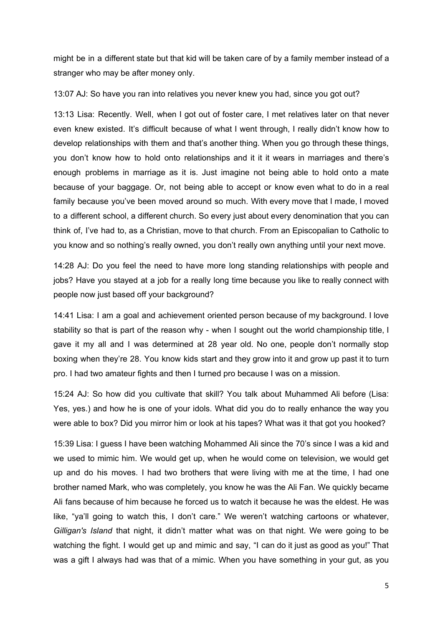might be in a different state but that kid will be taken care of by a family member instead of a stranger who may be after money only.

13:07 AJ: So have you ran into relatives you never knew you had, since you got out?

13:13 Lisa: Recently. Well, when I got out of foster care, I met relatives later on that never even knew existed. It's difficult because of what I went through, I really didn't know how to develop relationships with them and that's another thing. When you go through these things, you don't know how to hold onto relationships and it it it wears in marriages and there's enough problems in marriage as it is. Just imagine not being able to hold onto a mate because of your baggage. Or, not being able to accept or know even what to do in a real family because you've been moved around so much. With every move that I made, I moved to a different school, a different church. So every just about every denomination that you can think of, I've had to, as a Christian, move to that church. From an Episcopalian to Catholic to you know and so nothing's really owned, you don't really own anything until your next move.

14:28 AJ: Do you feel the need to have more long standing relationships with people and jobs? Have you stayed at a job for a really long time because you like to really connect with people now just based off your background?

14:41 Lisa: I am a goal and achievement oriented person because of my background. I love stability so that is part of the reason why - when I sought out the world championship title, I gave it my all and I was determined at 28 year old. No one, people don't normally stop boxing when they're 28. You know kids start and they grow into it and grow up past it to turn pro. I had two amateur fights and then I turned pro because I was on a mission.

15:24 AJ: So how did you cultivate that skill? You talk about Muhammed Ali before (Lisa: Yes, yes.) and how he is one of your idols. What did you do to really enhance the way you were able to box? Did you mirror him or look at his tapes? What was it that got you hooked?

15:39 Lisa: I guess I have been watching Mohammed Ali since the 70's since I was a kid and we used to mimic him. We would get up, when he would come on television, we would get up and do his moves. I had two brothers that were living with me at the time, I had one brother named Mark, who was completely, you know he was the Ali Fan. We quickly became Ali fans because of him because he forced us to watch it because he was the eldest. He was like, "ya'll going to watch this, I don't care." We weren't watching cartoons or whatever, *Gilligan's Island* that night, it didn't matter what was on that night. We were going to be watching the fight. I would get up and mimic and say, "I can do it just as good as you!" That was a gift I always had was that of a mimic. When you have something in your gut, as you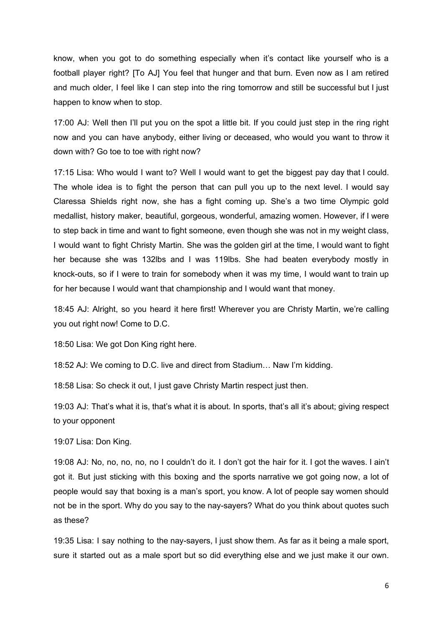know, when you got to do something especially when it's contact like yourself who is a football player right? [To AJ] You feel that hunger and that burn. Even now as I am retired and much older, I feel like I can step into the ring tomorrow and still be successful but I just happen to know when to stop.

17:00 AJ: Well then I'll put you on the spot a little bit. If you could just step in the ring right now and you can have anybody, either living or deceased, who would you want to throw it down with? Go toe to toe with right now?

17:15 Lisa: Who would I want to? Well I would want to get the biggest pay day that I could. The whole idea is to fight the person that can pull you up to the next level. I would say Claressa Shields right now, she has a fight coming up. She's a two time Olympic gold medallist, history maker, beautiful, gorgeous, wonderful, amazing women. However, if I were to step back in time and want to fight someone, even though she was not in my weight class, I would want to fight Christy Martin. She was the golden girl at the time, I would want to fight her because she was 132lbs and I was 119lbs. She had beaten everybody mostly in knock-outs, so if I were to train for somebody when it was my time, I would want to train up for her because I would want that championship and I would want that money.

18:45 AJ: Alright, so you heard it here first! Wherever you are Christy Martin, we're calling you out right now! Come to D.C.

18:50 Lisa: We got Don King right here.

18:52 AJ: We coming to D.C. live and direct from Stadium… Naw I'm kidding.

18:58 Lisa: So check it out, I just gave Christy Martin respect just then.

19:03 AJ: That's what it is, that's what it is about. In sports, that's all it's about; giving respect to your opponent

19:07 Lisa: Don King.

19:08 AJ: No, no, no, no, no I couldn't do it. I don't got the hair for it. I got the waves. I ain't got it. But just sticking with this boxing and the sports narrative we got going now, a lot of people would say that boxing is a man's sport, you know. A lot of people say women should not be in the sport. Why do you say to the nay-sayers? What do you think about quotes such as these?

19:35 Lisa: I say nothing to the nay-sayers, I just show them. As far as it being a male sport, sure it started out as a male sport but so did everything else and we just make it our own.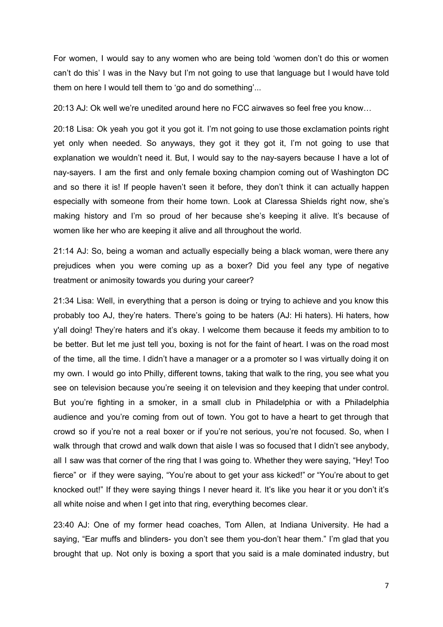For women, I would say to any women who are being told 'women don't do this or women can't do this' I was in the Navy but I'm not going to use that language but I would have told them on here I would tell them to 'go and do something'...

20:13 AJ: Ok well we're unedited around here no FCC airwaves so feel free you know…

20:18 Lisa: Ok yeah you got it you got it. I'm not going to use those exclamation points right yet only when needed. So anyways, they got it they got it, I'm not going to use that explanation we wouldn't need it. But, I would say to the nay-sayers because I have a lot of nay-sayers. I am the first and only female boxing champion coming out of Washington DC and so there it is! If people haven't seen it before, they don't think it can actually happen especially with someone from their home town. Look at Claressa Shields right now, she's making history and I'm so proud of her because she's keeping it alive. It's because of women like her who are keeping it alive and all throughout the world.

21:14 AJ: So, being a woman and actually especially being a black woman, were there any prejudices when you were coming up as a boxer? Did you feel any type of negative treatment or animosity towards you during your career?

21:34 Lisa: Well, in everything that a person is doing or trying to achieve and you know this probably too AJ, they're haters. There's going to be haters (AJ: Hi haters). Hi haters, how y'all doing! They're haters and it's okay. I welcome them because it feeds my ambition to to be better. But let me just tell you, boxing is not for the faint of heart. I was on the road most of the time, all the time. I didn't have a manager or a a promoter so I was virtually doing it on my own. I would go into Philly, different towns, taking that walk to the ring, you see what you see on television because you're seeing it on television and they keeping that under control. But you're fighting in a smoker, in a small club in Philadelphia or with a Philadelphia audience and you're coming from out of town. You got to have a heart to get through that crowd so if you're not a real boxer or if you're not serious, you're not focused. So, when I walk through that crowd and walk down that aisle I was so focused that I didn't see anybody, all I saw was that corner of the ring that I was going to. Whether they were saying, "Hey! Too fierce" or if they were saying, "You're about to get your ass kicked!" or "You're about to get knocked out!" If they were saying things I never heard it. It's like you hear it or you don't it's all white noise and when I get into that ring, everything becomes clear.

23:40 AJ: One of my former head coaches, Tom Allen, at Indiana University. He had a saying, "Ear muffs and blinders- you don't see them you-don't hear them." I'm glad that you brought that up. Not only is boxing a sport that you said is a male dominated industry, but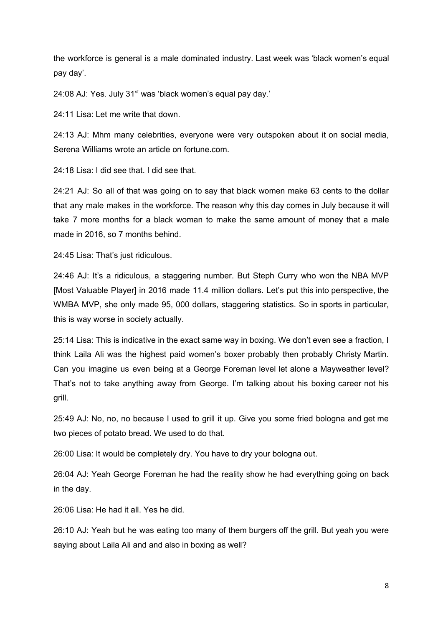the workforce is general is a male dominated industry. Last week was 'black women's equal pay day'.

24:08 AJ: Yes. July 31<sup>st</sup> was 'black women's equal pay day.'

24:11 Lisa: Let me write that down.

24:13 AJ: Mhm many celebrities, everyone were very outspoken about it on social media, Serena Williams wrote an article on fortune.com.

24:18 Lisa: I did see that. I did see that.

24:21 AJ: So all of that was going on to say that black women make 63 cents to the dollar that any male makes in the workforce. The reason why this day comes in July because it will take 7 more months for a black woman to make the same amount of money that a male made in 2016, so 7 months behind.

24:45 Lisa: That's just ridiculous.

24:46 AJ: It's a ridiculous, a staggering number. But Steph Curry who won the NBA MVP [Most Valuable Player] in 2016 made 11.4 million dollars. Let's put this into perspective, the WMBA MVP, she only made 95, 000 dollars, staggering statistics. So in sports in particular, this is way worse in society actually.

25:14 Lisa: This is indicative in the exact same way in boxing. We don't even see a fraction, I think Laila Ali was the highest paid women's boxer probably then probably Christy Martin. Can you imagine us even being at a George Foreman level let alone a Mayweather level? That's not to take anything away from George. I'm talking about his boxing career not his grill.

25:49 AJ: No, no, no because I used to grill it up. Give you some fried bologna and get me two pieces of potato bread. We used to do that.

26:00 Lisa: It would be completely dry. You have to dry your bologna out.

26:04 AJ: Yeah George Foreman he had the reality show he had everything going on back in the day.

26:06 Lisa: He had it all. Yes he did.

26:10 AJ: Yeah but he was eating too many of them burgers off the grill. But yeah you were saying about Laila Ali and and also in boxing as well?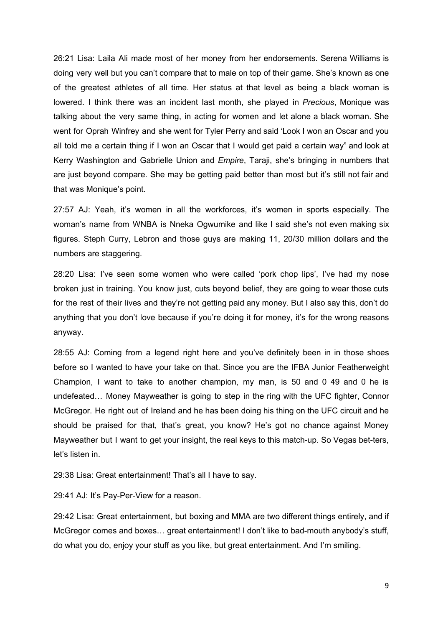26:21 Lisa: Laila Ali made most of her money from her endorsements. Serena Williams is doing very well but you can't compare that to male on top of their game. She's known as one of the greatest athletes of all time. Her status at that level as being a black woman is lowered. I think there was an incident last month, she played in *Precious*, Monique was talking about the very same thing, in acting for women and let alone a black woman. She went for Oprah Winfrey and she went for Tyler Perry and said 'Look I won an Oscar and you all told me a certain thing if I won an Oscar that I would get paid a certain way" and look at Kerry Washington and Gabrielle Union and *Empire*, Taraji, she's bringing in numbers that are just beyond compare. She may be getting paid better than most but it's still not fair and that was Monique's point.

27:57 AJ: Yeah, it's women in all the workforces, it's women in sports especially. The woman's name from WNBA is Nneka Ogwumike and like I said she's not even making six figures. Steph Curry, Lebron and those guys are making 11, 20/30 million dollars and the numbers are staggering.

28:20 Lisa: I've seen some women who were called 'pork chop lips', I've had my nose broken just in training. You know just, cuts beyond belief, they are going to wear those cuts for the rest of their lives and they're not getting paid any money. But I also say this, don't do anything that you don't love because if you're doing it for money, it's for the wrong reasons anyway.

28:55 AJ: Coming from a legend right here and you've definitely been in in those shoes before so I wanted to have your take on that. Since you are the IFBA Junior Featherweight Champion, I want to take to another champion, my man, is 50 and 0 49 and 0 he is undefeated… Money Mayweather is going to step in the ring with the UFC fighter, Connor McGregor. He right out of Ireland and he has been doing his thing on the UFC circuit and he should be praised for that, that's great, you know? He's got no chance against Money Mayweather but I want to get your insight, the real keys to this match-up. So Vegas bet-ters, let's listen in.

29:38 Lisa: Great entertainment! That's all I have to say.

29:41 AJ: It's Pay-Per-View for a reason.

29:42 Lisa: Great entertainment, but boxing and MMA are two different things entirely, and if McGregor comes and boxes… great entertainment! I don't like to bad-mouth anybody's stuff, do what you do, enjoy your stuff as you like, but great entertainment. And I'm smiling.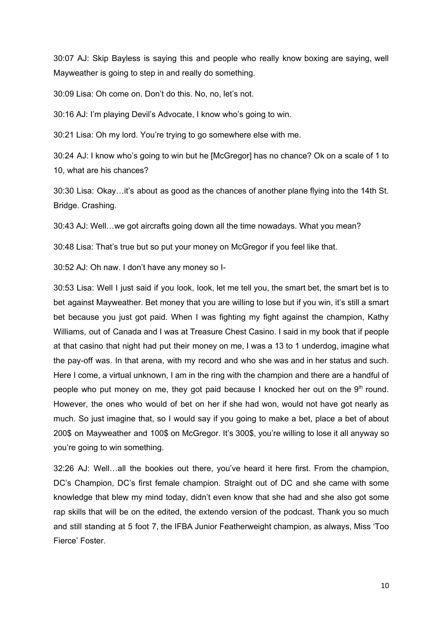30:07 AJ: Skip Bayless is saying this and people who really know boxing are saying, well Mayweather is going to step in and really do something.

30:09 Lisa: Oh come on. Don't do this. No, no, let's not.

30:16 AJ: I'm playing Devil's Advocate, I know who's going to win.

30:21 Lisa: Oh my lord. You're trying to go somewhere else with me.

30:24 AJ: I know who's going to win but he [McGregor] has no chance? Ok on a scale of 1 to 10, what are his chances?

30:30 Lisa: Okay…it's about as good as the chances of another plane flying into the 14th St. Bridge. Crashing.

30:43 AJ: Well…we got aircrafts going down all the time nowadays. What you mean?

30:48 Lisa: That's true but so put your money on McGregor if you feel like that.

30:52 AJ: Oh naw. I don't have any money so I-

30:53 Lisa: Well I just said if you look, look, let me tell you, the smart bet, the smart bet is to bet against Mayweather. Bet money that you are willing to lose but if you win, it's still a smart bet because you just got paid. When I was fighting my fight against the champion, Kathy Williams, out of Canada and I was at Treasure Chest Casino. I said in my book that if people at that casino that night had put their money on me, I was a 13 to 1 underdog, imagine what the pay-off was. In that arena, with my record and who she was and in her status and such. Here I come, a virtual unknown, I am in the ring with the champion and there are a handful of people who put money on me, they got paid because I knocked her out on the 9<sup>th</sup> round. However, the ones who would of bet on her if she had won, would not have got nearly as much. So just imagine that, so I would say if you going to make a bet, place a bet of about 200\$ on Mayweather and 100\$ on McGregor. It's 300\$, you're willing to lose it all anyway so you're going to win something.

32:26 AJ: Well…all the bookies out there, you've heard it here first. From the champion, DC's Champion, DC's first female champion. Straight out of DC and she came with some knowledge that blew my mind today, didn't even know that she had and she also got some rap skills that will be on the edited, the extendo version of the podcast. Thank you so much and still standing at 5 foot 7, the IFBA Junior Featherweight champion, as always, Miss 'Too Fierce' Foster.